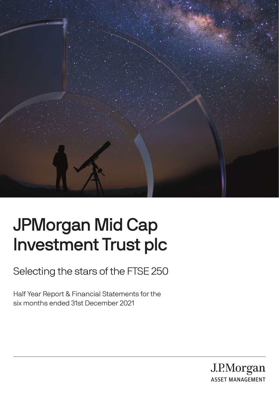

# JPMorgan Mid Cap Investment Trust plc

Selecting the stars of the FTSE 250

Half Year Report & Financial Statements for the six months ended 31st December 2021

> J.P.Morgan **ASSET MANAGEMENT**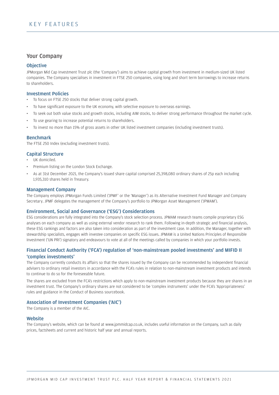#### Your Company

#### **Objective**

JPMorgan Mid Cap Investment Trust plc (the 'Company') aims to achieve capital growth from investment in medium-sized UK listed companies. The Company specialises in investment in FTSE 250 companies, using long and short term borrowings to increase returns to shareholders.

#### Investment Policies

- To focus on FTSE 250 stocks that deliver strong capital growth.
- To have significant exposure to the UK economy, with selective exposure to overseas earnings.
- To seek out both value stocks and growth stocks, including AIM stocks, to deliver strong performance throughout the market cycle.
- To use gearing to increase potential returns to shareholders.
- To invest no more than 15% of gross assets in other UK listed investment companies (including investment trusts).

#### Benchmark

The FTSE 250 Index (excluding investment trusts).

#### Capital Structure

- UK domiciled.
- Premium listing on the London Stock Exchange.
- As at 31st December 2021, the Company's issued share capital comprised 25,398,080 ordinary shares of 25p each including 1,935,310 shares held in Treasury.

#### Management Company

The Company employs JPMorgan Funds Limited ('JPMF' or the 'Manager') as its Alternative Investment Fund Manager and Company Secretary. JPMF delegates the management of the Company's portfolio to JPMorgan Asset Management ('JPMAM').

#### Environment, Social and Governance ('ESG') Considerations

ESG considerations are fully integrated into the Company's stock selection process. JPMAM research teams compile proprietary ESG analyses on each company as well as using external vendor research to rank them. Following in-depth strategic and financial analysis, these ESG rankings and factors are also taken into consideration as part of the investment case. In addition, the Manager, together with stewardship specialists, engages with investee companies on specific ESG issues. JPMAM is a United Nations Principles of Responsible Investment ('UN PRI') signatory and endeavours to vote at all of the meetings called by companies in which your portfolio invests.

#### Financial Conduct Authority ('FCA') regulation of 'non-mainstream pooled investments' and MIFID II 'complex investments'

The Company currently conducts its affairs so that the shares issued by the Company can be recommended by independent financial advisers to ordinary retail investors in accordance with the FCA's rules in relation to non-mainstream investment products and intends to continue to do so for the foreseeable future.

The shares are excluded from the FCA's restrictions which apply to non-mainstream investment products because they are shares in an investment trust. The Company's ordinary shares are not considered to be 'complex instruments' under the FCA's 'Appropriateness' rules and guidance in the Conduct of Business sourcebook.

#### Association of Investment Companies ('AIC')

The Company is a member of the AIC.

#### **Website**

The Company's website, which can be found at www.jpmmidcap.co.uk, includes useful information on the Company, such as daily prices, factsheets and current and historic half year and annual reports.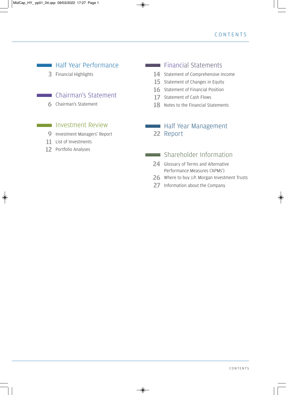## **Half Year Performance**

3 Financial Highlights

### **Chairman's Statement**

**6** Chairman's Statement

### **Investment Review**

- 9 Investment Managers' Report
- 11 List of Investments
- 12 Portfolio Analyses

### **Financial Statements**

- 14 Statement of Comprehensive Income
- 15 Statement of Changes in Equity
- 16 Statement of Financial Position
- 17 Statement of Cash Flows
- 18 Notes to the Financial Statements

### **Half Year Management** 22 Report

### Shareholder Information

- 24 Glossary of Terms and Alternative Performance Measures ('APMs')
- 26 Where to buy J.P. Morgan Investment Trusts
- 27 Information about the Company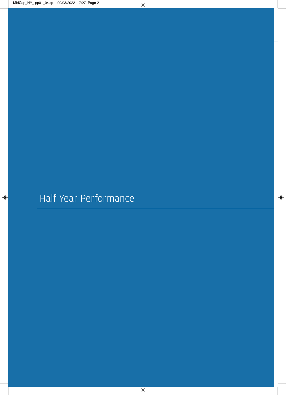Half Year Performance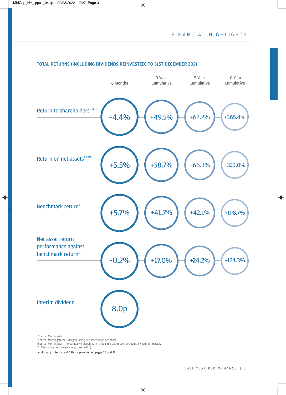

#### TOTAL RETURNS (INCLUDING DIVIDENDS REINVESTED) TO 31ST DECEMBER 2021

<sup>1</sup> Source: Morningstar.<br><sup>2</sup> Source: Morningstar/J.P.Morgan, using net asset value per share.

<sup>3</sup> Source: Morningstar. The Company's benchmark is the FTSE 250 Index (excluding investment trusts). APM Alternative performance measure ('APM').

A glossary of terms and APMs is provided on pages 24 and 25.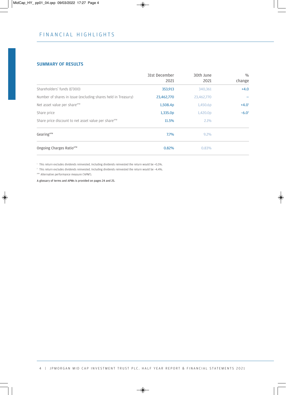#### SUMMARY OF RESULTS

|                                                                  | 31st December<br>2021 | 30th June  | $\frac{0}{0}$<br>change |
|------------------------------------------------------------------|-----------------------|------------|-------------------------|
|                                                                  |                       | 2021       |                         |
| Shareholders' funds (£'000)                                      | 353,913               | 340,361    | $+4.0$                  |
| Number of shares in issue (excluding shares held in Treasury)    | 23,462,770            | 23,462,770 |                         |
| Net asset value per share <sup>APM</sup>                         | 1,508.4p              | 1,450.6p   | $+4.0^1$                |
| Share price                                                      | 1,335.0p              | 1,420.0p   | $-6.0^2$                |
| Share price discount to net asset value per share <sup>APM</sup> | 11.5%                 | 2.1%       |                         |
| Gearing <sup>APM</sup>                                           | 7.7%                  | $9.2\%$    |                         |
| Ongoing Charges Ratio <sup>APM</sup>                             | 0.82%                 | 0.83%      |                         |

1 This return excludes dividends reinvested. Including dividends reinvested the return would be +5.5%.

2 This return excludes dividends reinvested. Including dividends reinvested the return would be –4.4%.

APM Alternative performance measure ('APM').

A glossary of terms and APMs is provided on pages 24 and 25.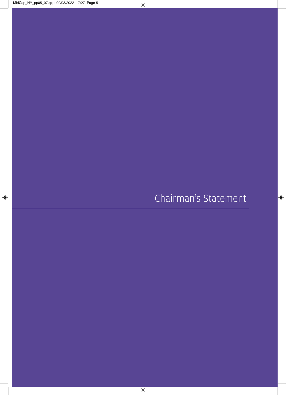Chairman's Statement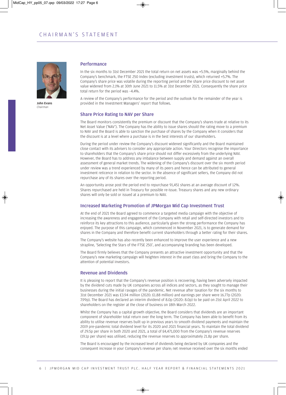

John Evans *Chairman*

#### Performance

In the six months to 31st December 2021 the total return on net assets was +5.5%, marginally behind the Company's benchmark, the FTSE 250 Index (excluding investment trusts), which returned +5.7%. The Company's share price was volatile during the reporting period and the share price discount to net asset value widened from 2.1% at 30th June 2021 to 11.5% at 31st December 2021. Consequently the share price total return for the period was –4.4%.

A review of the Company's performance for the period and the outlook for the remainder of the year is provided in the Investment Managers' report that follows.

#### Share Price Rating to NAV per Share

The Board monitors consistently the premium or discount that the Company's shares trade at relative to its Net Asset Value ('NAV'). The Company has the ability to issue shares should the rating move to a premium to NAV and the Board is able to sanction the purchase of shares by the Company when it considers that the discount is at a level where a purchase is in the best interests of our shareholders.

During the period under review the Company's discount widened significantly and the Board maintained close contact with its advisers to consider any appropriate action. Your Directors recognise the importance to shareholders that the Company's share price should not differ excessively from the underlying NAV. However, the Board has to address any imbalance between supply and demand against an overall assessment of general market trends. The widening of the Company's discount over the six month period under review was a trend experienced by many of its peers and hence can be attributed to general investment reticence in relation to the sector. In the absence of significant sellers, the Company did not repurchase any of its shares over the reporting period.

An opportunity arose post the period end to repurchase 91,451 shares at an average discount of 12%. Shares repurchased are held in Treasury for possible re-issue. Treasury shares and any new ordinary shares will only be sold or issued at a premium to NAV.

#### Increased Marketing Promotion of JPMorgan Mid Cap Investment Trust

At the end of 2021 the Board agreed to commence a targeted media campaign with the objective of increasing the awareness and engagement of the Company with retail and self-directed investors and to reinforce its key attractions to this audience, particularly given the strong performance the Company has enjoyed. The purpose of this campaign, which commenced in November 2021, is to generate demand for shares in the Company and therefore benefit current shareholders through a better rating for their shares.

The Company's website has also recently been enhanced to improve the user experience and a new strapline, 'Selecting the Stars of the FTSE 250', and accompanying branding has been developed.

The Board firmly believes that the Company presents an attractive investment opportunity and that the Company's new marketing campaign will heighten interest in the asset class and bring the Company to the attention of potential investors.

#### Revenue and Dividends

It is pleasing to report that the Company's revenue position is recovering, having been adversely impacted by the dividend cuts made by UK companies across all indices and sectors, as they sought to manage their businesses during the initial ravages of the pandemic. Net revenue after taxation for the six months to 31st December 2021 was £3.94 million (2020: £1.88 million) and earnings per share were 16.77p (2020: 7.99p). The Board has declared an interim dividend of 8.0p (2020: 8.0p) to be paid on 21st April 2022 to shareholders on the register at the close of business on 18th March 2022.

Whilst the Company has a capital growth objective, the Board considers that dividends are an important component of shareholder total return over the long term. The Company has been able to benefit from its ability to utilise revenue reserves built up in previous years to smooth dividend payments and maintain the 2019 pre-pandemic total dividend level for its 2020 and 2021 financial years. To maintain the total dividend of 29.5p per share in both 2020 and 2021, a total of £4,471,000 from the Company's revenue reserves (19.1p per share) was utilised, reducing the revenue reserves to approximately 21.8p per share.

The Board is encouraged by the increased level of dividends being declared by UK companies and the consequent increase in your Company's revenue per share; net revenue received over the six months ended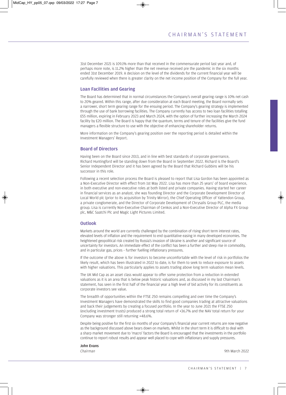31st December 2021 is 109.1% more than that received in the commensurate period last year and, of perhaps more note, is 11.2% higher than the net revenue received pre the pandemic in the six months ended 31st December 2019. A decision on the level of the dividends for the current financial year will be carefully reviewed when there is greater clarity on the net income position of the Company for the full year.

#### Loan Facilities and Gearing

The Board has determined that in normal circumstances the Company's overall gearing range is 10% net cash to 20% geared. Within this range, after due consideration at each Board meeting, the Board normally sets a narrower, short term gearing range for the ensuing period. The Company's gearing strategy is implemented through the use of bank borrowing facilities. The Company currently has access to two loan facilities totalling £55 million, expiring in February 2023 and March 2024, with the option of further increasing the March 2024 facility by £20 million. The Board is happy that the quantum, terms and tenure of the facilities give the fund managers a flexible structure to use with the objective of enhancing shareholder returns.

More information on the Company's gearing position over the reporting period is detailed within the Investment Managers' Report.

#### Board of Directors

Having been on the Board since 2013, and in line with best standards of corporate governance, Richard Huntingford will be standing down from the Board in September 2022. Richard is the Board's Senior Independent Director and it has been agreed by the Board that Richard Gubbins will be his successor in this role.

Following a recent selection process the Board is pleased to report that Lisa Gordon has been appointed as a Non-Executive Director with effect from 1st May 2022. Lisa has more than 25 years' of board experience, in both executive and non-executive roles at both listed and private companies. Having started her career in financial services as an analyst, she was founding Director and the Corporate Development Director of Local World plc (prior to its acquisition by Trinity Mirror), the Chief Operating Officer of Yattendon Group, a private conglomerate, and the Director of Corporate Development of Chrysalis Group PLC, the media group. Lisa is currently Non-Executive Chairman of Cenkos and a Non-Executive Director of Alpha FX Group plc, M&C Saatchi Plc and Magic Light Pictures Limited.

#### **Outlook**

Markets around the world are currently challenged by the combination of rising short term interest rates, elevated levels of inflation and the requirement to end quantitative easing in many developed economies. The heightened geopolitical risk created by Russia's invasion of Ukraine is another and significant source of uncertainty for investors. An immediate effect of the conflict has been a further and steep rise in commodity, and in particular gas, prices – further fuelling inflationary pressures.

If the outcome of the above is for investors to become uncomfortable with the level of risk in portfolios the likely result, which has been illustrated in 2022 to date, is for them to seek to reduce exposure to assets with higher valuations. This particularly applies to assets trading above long term valuation mean levels.

The UK Mid Cap as an asset class would appear to offer some protection from a reduction in extended valuations as it is an area that is below peak historic valuations and, as discussed in my last Chairman's statement, has seen in the first half of the financial year a high level of bid activity for its constituents as corporate investors see value.

The breadth of opportunities within the FTSE 250 remains compelling and over time the Company's Investment Managers have demonstrated the skills to find good companies trading at attractive valuations and back their judgements by creating a focused portfolio. In the year to June 2021 the FTSE 250 (excluding investment trusts) produced a strong total return of +36.7% and the NAV total return for your Company was stronger still returning +48.6%.

Despite being positive for the first six months of your Company's financial year current returns are now negative as the background discussed above bears down on markets. Whilst in the short term it is difficult to deal with a sharp market movement due to 'macro' factors the Board is encouraged that the investments in the portfolio continue to report robust results and appear well placed to cope with inflationary and supply pressures.

John Evans

*Chairman* 9th March 2022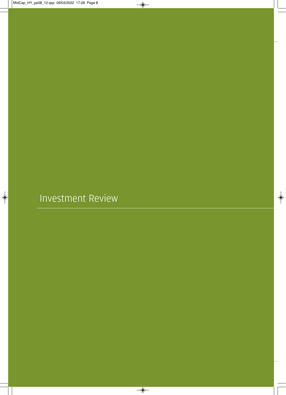Investment Review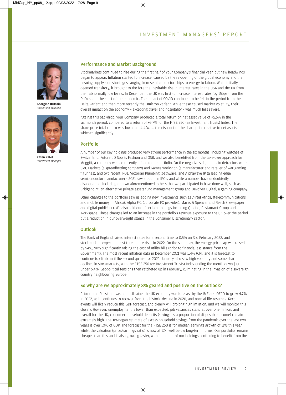

Georgina Brittain **Investment Manager** *Investment Manager*



Katen Patel Investment Manager *Investment Manager*

#### Performance and Market Background

Stockmarkets continued to rise during the first half of your Company's financial year, but new headwinds began to appear. Inflation started to increase, caused by the re-opening of the global economy and the ensuing supply side shortages ranging from semi-conductor chips to energy to labour. While initially deemed transitory, it brought to the fore the inevitable rise in interest rates in the USA and the UK from their abnormally low levels. In December, the UK was first to increase interest rates (by 15bps) from the 0.1% set at the start of the pandemic. The impact of COVID continued to be felt in the period from the Delta variant and then more recently the Omicron variant. While these caused market volatility, their overall impact on the economy – excepting travel and hospitality – was much less severe.

Against this backdrop, your Company produced a total return on net asset value of +5.5% in the six month period, compared to a return of +5.7% for the FTSE 250 (ex Investment Trusts) Index. The share price total return was lower at –4.4%, as the discount of the share price relative to net assets widened significantly.

#### Portfolio

A number of our key holdings produced very strong performance in the six months, including Watches of Switzerland, Future, JD Sports Fashion and OSB, and we also benefitted from the take-over approach for Meggitt, a company we had recently added to the portfolio. On the negative side, the main detractors were CMC Markets (a spreadbetting company) and Games Workshop (a manufacturer and retailer of war gaming figurines), and two recent IPOs, Victorian Plumbing (bathware) and Alphawave IP (a leading edge semiconductor manufacturer). 2021 saw a boom in IPOs, and while a number have undoubtedly disappointed, including the two aforementioned, others that we participated in have done well, such as Bridgepoint, an alternative private assets fund management group and Devolver Digital, a gaming company.

Other changes to the portfolio saw us adding new investments such as Airtel Africa, (telecommunications and mobile money in Africa), Alpha FX, (corporate FX provider), Marks & Spencer and Reach (newspaper and digital publisher). We also sold out of certain holdings including Qinetiq, Restaurant Group and Workspace. These changes led to an increase in the portfolio's revenue exposure to the UK over the period but a reduction in our overweight stance in the Consumer Discretionary sector.

#### **Outlook**

The Bank of England raised interest rates for a second time to 0.5% on 3rd February 2022, and stockmarkets expect at least three more rises in 2022. On the same day, the energy price cap was raised by 54%, very significantly raising the cost of utility bills (prior to financial assistance from the Government). The most recent inflation data in December 2021 was 5.4% (CPI) and it is forecast to continue to climb until the second quarter of 2022. January also saw high volatility and some sharp declines in stockmarkets, with the FTSE 250 (ex Investment Trusts) Index ending the month down just under 6.4%. Geopolitical tensions then ratcheted up in February, culminating in the invasion of a sovereign country neighbouring Europe.

#### So why are we approximately 8% geared and positive on the outlook?

Prior to the Russian invasion of Ukraine, the UK economy was forecast by the IMF and OECD to grow 4.7% in 2022, as it continues to recover from the historic decline in 2020, and normal life resumes. Recent events will likely reduce this GDP forecast, and clearly will prolong high inflation, and we will monitor this closely. However, unemployment is lower than expected, job vacancies stand at over one million, and overall for the UK, consumer household deposits (savings as a proportion of disposable income) remain extremely high. The JPMorgan estimate of excess household savings from the pandemic over the last two years is over 10% of GDP. The forecast for the FTSE 250 is for median earnings growth of 11% this year whilst the valuation (price/earnings ratio) is now at 12x, well below long-term norms. Our portfolio remains cheaper than this and is also growing faster, with a number of our holdings continuing to benefit from the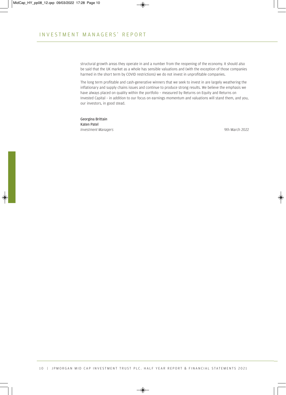structural growth areas they operate in and a number from the reopening of the economy. It should also be said that the UK market as a whole has sensible valuations and (with the exception of those companies harmed in the short term by COVID restrictions) we do not invest in unprofitable companies.

The long term profitable and cash-generative winners that we seek to invest in are largely weathering the inflationary and supply chains issues and continue to produce strong results. We believe the emphasis we have always placed on quality within the portfolio – measured by Returns on Equity and Returns on Invested Capital – in addition to our focus on earnings momentum and valuations will stand them, and you, our investors, in good stead.

Georgina Brittain **Investment Managers** *Investment Managers* 9th March 2022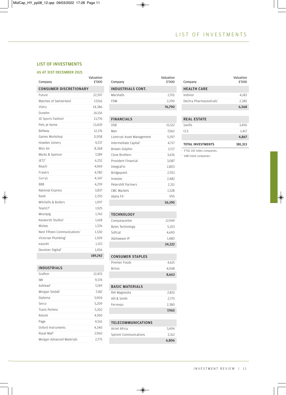#### LIST OF INVESTMENTS

#### AS AT 31ST DECEMBER 2021

| Company                                  | £'000   |
|------------------------------------------|---------|
| <b>CONSUMER DISCRETIONARY</b>            |         |
| Future                                   | 22,597  |
| Watches of Switzerland                   | 17,016  |
| Vistry                                   | 14,386  |
| Dunelm                                   | 14,156  |
| JD Sports Fashion <sup>1</sup>           | 13,776  |
| Pets at Home                             | 13.439  |
| Bellway                                  | 12,176  |
| Games Workshop                           | 11,958  |
| Howden Joinery                           | 9,237   |
| Wizz Air                                 | 8,368   |
| Marks & Spencer                          | 7,289   |
| IFT2 <sup>2</sup>                        | 6,252   |
| Reach                                    | 4,969   |
| Frasers                                  | 4.780   |
| Currys                                   | 4.347   |
| 888                                      | 4,259   |
| National Express                         | 3,837   |
| Rank                                     | 2,293   |
| Mitchells & Butlers                      | 1,997   |
| Team $172$                               | 1,925   |
| Moonpig                                  | 1,743   |
| Keywords Studios <sup>2</sup>            | 1,618   |
| Wickes                                   | 1,576   |
| Next Fifteen Communications <sup>2</sup> | 1,530   |
| Victorian Plumbing <sup>2</sup>          | 1,509   |
| easyJet                                  | 1,153   |
| Devolver Digital <sup>2</sup>            | 1,056   |
|                                          | 189,242 |

#### INDUSTRIALS

| Grafton                   | 12,453 |
|---------------------------|--------|
| IMI                       | 9,374  |
| Ashtead <sup>1</sup>      | 7.249  |
| Morgan Sindall            | 7,182  |
| Diploma                   | 5,904  |
| Serco                     | 5.209  |
| <b>Travis Perkins</b>     | 5,202  |
| Rotork                    | 4,590  |
| Page                      | 4.561  |
| Oxford Instruments        | 4,340  |
| Royal Mail <sup>1</sup>   | 2,960  |
| Morgan Advanced Materials | 2.775  |

| Company                  | Valuation<br>£'000 |
|--------------------------|--------------------|
| <b>INDUSTRIALS CONT.</b> |                    |
| Marshalls                | 2.701              |
| FDM                      | 2.290              |
|                          | 76,790             |
|                          |                    |

#### FINANCIALS

| OSB                               | 15,512 |
|-----------------------------------|--------|
| Man                               | 7,062  |
| Liontrust Asset Management        | 5,597  |
| Intermediate Capital <sup>i</sup> | 4,717  |
| Brewin Dolphin                    | 3,717  |
| Close Brothers                    | 3,676  |
| Provident Financial               | 3,087  |
| IntegraFin                        | 2,803  |
| Bridgepoint                       | 2,703  |
| Investec                          | 2,482  |
| Petershill Partners               | 2.311  |
| <b>CMC Markets</b>                | 1,528  |
| Alpha $FX^2$                      | 995    |
|                                   | 56,190 |

#### TECHNOLOGY

| Alphawave IP     | 1.480<br>24.222 |
|------------------|-----------------|
| Softcat          | 4.690           |
| Bytes Technology | 5,103           |
| Computacenter    | 12.949          |
|                  |                 |

#### CONSUMER STAPLES

|                | 8,663 |
|----------------|-------|
| <b>Britvic</b> | 4.048 |
| Premier Foods  | 4.615 |

#### BASIC MATERIALS

|               | 7.965 |
|---------------|-------|
| Ferrexpo      | 2.380 |
| Hill & Smith  | 2,775 |
| RHI Magnesita | 2,810 |
|               |       |

#### TELECOMMUNICATIONS

|                        | 6.806 |
|------------------------|-------|
| Spirent Communications | 3.312 |
| Airtel Africa          | 3.494 |

| Company                             | Valuation<br>£'000 |
|-------------------------------------|--------------------|
| <b>HEALTH CARE</b>                  |                    |
| Indivior                            | 4.183              |
| Dechra Pharmaceuticals <sup>1</sup> | 2,385              |
|                                     | 6,568              |

#### REAL ESTATE

| Savills                  | 3.450   |
|--------------------------|---------|
| CLS.                     | 1.417   |
|                          | 4,867   |
| <b>TOTAL INVESTMENTS</b> | 381,313 |

<sup>1</sup> FTSE 100 Index companies.

<sup>2</sup> AIM listed companies.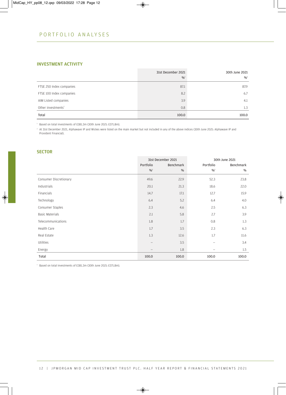### INVESTMENT ACTIVITY

|                                | 31st December 2021<br>$\frac{0}{0}$ | 30th June 2021<br>$\frac{0}{0}$ <sup>1</sup> |
|--------------------------------|-------------------------------------|----------------------------------------------|
| FTSE 250 Index companies       | 87.1                                | 87.9                                         |
| FTSE 100 Index companies       | 8.2                                 | 6.7                                          |
| AIM Listed companies           | 3.9                                 | 4.1                                          |
| Other investments <sup>2</sup> | 0.8                                 | 1.3                                          |
| Total                          | 100.0                               | 100.0                                        |

<sup>1</sup> Based on total investments of £381.3m (30th June 2021: £371.8m).

<sup>2</sup> At 31st December 2021, Alphawave IP and Wickes were listed on the main market but not included in any of the above indices (30th June 2021: Alphawave IP and Provident Financial).

#### **SECTOR**

|                        |                          | 31st December 2021 |                            | 30th June 2021 |
|------------------------|--------------------------|--------------------|----------------------------|----------------|
|                        | Portfolio                | <b>Benchmark</b>   | Portfolio                  | Benchmark      |
|                        | $9/0^{1}$                | %                  | $\frac{0}{6}$ <sup>1</sup> | $\%$           |
| Consumer Discretionary | 49.6                     | 22.9               | 52.3                       | 23.8           |
| Industrials            | 20.1                     | 21.3               | 18.6                       | 22.0           |
| Financials             | 14.7                     | 17.1               | 12.7                       | 15.9           |
| Technology             | 6.4                      | 5.2                | 6.4                        | 4.0            |
| Consumer Staples       | 2.3                      | 4.6                | 2.5                        | 6.3            |
| <b>Basic Materials</b> | 2.1                      | 5.8                | 2.7                        | 3.9            |
| Telecommunications     | 1.8                      | 1.7                | 0.8                        | 1.3            |
| Health Care            | 1.7                      | 3.5                | 2.3                        | 6.3            |
| Real Estate            | 1.3                      | 12.6               | 1.7                        | 11.6           |
| Utilities              | $\overline{\phantom{m}}$ | 3.5                | $\overline{\phantom{0}}$   | 3.4            |
| Energy                 |                          | 1.8                |                            | 1.5            |
| Total                  | 100.0                    | 100.0              | 100.0                      | 100.0          |

<sup>1</sup> Based on total investments of £381.3m (30th June 2021: £371.8m).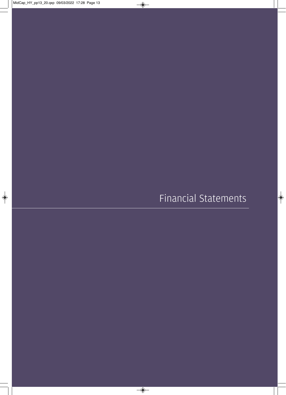Financial Statements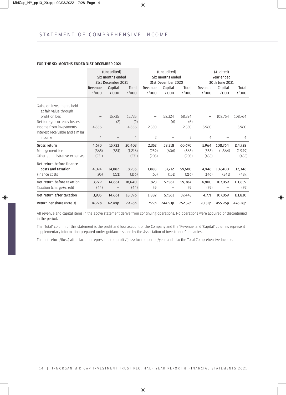#### FOR THE SIX MONTHS ENDED 31ST DECEMBER 2021

|                                                    |                   | (Unaudited)<br>Six months ended<br>31st December 2021 |                       |                          | (Unaudited)<br>Six months ended<br>31st December 2020 |                |                  | (Audited)<br>Year ended<br>30th June 2021 |                |
|----------------------------------------------------|-------------------|-------------------------------------------------------|-----------------------|--------------------------|-------------------------------------------------------|----------------|------------------|-------------------------------------------|----------------|
|                                                    | Revenue<br>£'000  | Capital<br>£'000                                      | <b>Total</b><br>£'000 | Revenue<br>£'000         | Capital<br>£'000                                      | Total<br>£'000 | Revenue<br>£'000 | Capital<br>£'000                          | Total<br>£'000 |
| Gains on investments held<br>at fair value through |                   |                                                       |                       |                          |                                                       |                |                  |                                           |                |
| profit or loss                                     | $\qquad \qquad -$ | 15,735                                                | 15,735                | $\overline{\phantom{m}}$ | 58,324                                                | 58,324         |                  | 108,764                                   | 108,764        |
| Net foreign currency losses                        |                   | (2)                                                   | (2)                   |                          | (6)                                                   | (6)            |                  |                                           |                |
| Income from investments                            | 4,666             | $\qquad \qquad -$                                     | 4,666                 | 2,350                    | —                                                     | 2,350          | 5,960            |                                           | 5,960          |
| Interest receivable and similar                    |                   |                                                       |                       |                          |                                                       |                |                  |                                           |                |
| income                                             | $\overline{4}$    |                                                       | $\overline{4}$        | 2                        |                                                       | 2              | 4                |                                           | 4              |
| Gross return                                       | 4,670             | 15,733                                                | 20,403                | 2,352                    | 58,318                                                | 60,670         | 5.964            | 108.764                                   | 114,728        |
| Management fee                                     | (365)             | (851)                                                 | (1,216)               | (259)                    | (606)                                                 | (865)          | (585)            | (1, 364)                                  | (1,949)        |
| Other administrative expenses                      | (231)             |                                                       | (231)                 | (205)                    |                                                       | (205)          | (433)            |                                           | (433)          |
| Net return before finance                          |                   |                                                       |                       |                          |                                                       |                |                  |                                           |                |
| costs and taxation                                 | 4,074             | 14,882                                                | 18,956                | 1,888                    | 57,712                                                | 59,600         | 4,946            | 107,400                                   | 112,346        |
| Finance costs                                      | (95)              | (221)                                                 | (316)                 | (65)                     | (151)                                                 | (216)          | (146)            | (341)                                     | (487)          |
| Net return before taxation                         | 3.979             | 14,661                                                | 18,640                | 1,823                    | 57,561                                                | 59,384         | 4,800            | 107,059                                   | 111,859        |
| Taxation (charge)/credit                           | (44)              |                                                       | (44)                  | 59                       |                                                       | 59             | (29)             |                                           | (29)           |
| Net return after taxation                          | 3,935             | 14,661                                                | 18,596                | 1,882                    | 57,561                                                | 59,443         | 4,771            | 107,059                                   | 111,830        |
| Return per share (note 3)                          | 16.77p            | 62.49p                                                | 79.26p                | 7.99 <sub>p</sub>        | 244.53p                                               | 252.52p        | 20.32p           | 455.96p                                   | 476.28p        |

All revenue and capital items in the above statement derive from continuing operations. No operations were acquired or discontinued in the period.

The 'Total' column of this statement is the profit and loss account of the Company and the 'Revenue' and 'Capital' columns represent supplementary information prepared under guidance issued by the Association of Investment Companies.

The net return/(loss) after taxation represents the profit/(loss) for the period/year and also the Total Comprehensive Income.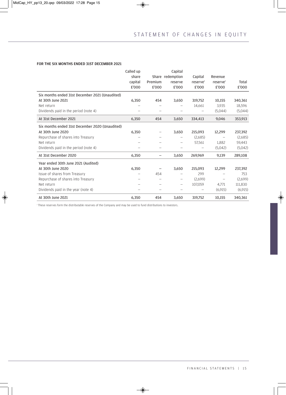#### FOR THE SIX MONTHS ENDED 31ST DECEMBER 2021

|                                                 | Called up |                          | Capital                  |                |                      |         |
|-------------------------------------------------|-----------|--------------------------|--------------------------|----------------|----------------------|---------|
|                                                 | share     |                          | Share redemption         | Capital        | Revenue              |         |
|                                                 | capital   | Premium                  | reserve                  | $r$ eserve $1$ | reserve <sup>1</sup> | Total   |
|                                                 | £'000     | £'000                    | £'000                    | £'000          | £'000                | £'000   |
| Six months ended 31st December 2021 (Unaudited) |           |                          |                          |                |                      |         |
| At 30th June 2021                               | 6,350     | 454                      | 3,650                    | 319,752        | 10,155               | 340,361 |
| Net return                                      |           |                          |                          | 14,661         | 3,935                | 18,596  |
| Dividends paid in the period (note 4)           |           |                          |                          |                | (5,044)              | (5,044) |
| At 31st December 2021                           | 6,350     | 454                      | 3,650                    | 334,413        | 9.046                | 353,913 |
| Six months ended 31st December 2020 (Unaudited) |           |                          |                          |                |                      |         |
| At 30th June 2020                               | 6,350     | —                        | 3,650                    | 215,093        | 12,299               | 237,392 |
| Repurchase of shares into Treasury              |           | —                        |                          | (2,685)        |                      | (2,685) |
| Net return                                      |           |                          |                          | 57,561         | 1,882                | 59,443  |
| Dividends paid in the period (note 4)           |           | $\overline{\phantom{0}}$ | $\overline{\phantom{0}}$ |                | (5,042)              | (5,042) |
| At 31st December 2020                           | 6,350     | —                        | 3,650                    | 269,969        | 9,139                | 289,108 |
| Year ended 30th June 2021 (Audited)             |           |                          |                          |                |                      |         |
| At 30th June 2020                               | 6,350     |                          | 3,650                    | 215.093        | 12,299               | 237,392 |
| Issue of shares from Treasury                   |           | 454                      |                          | 299            |                      | 753     |
| Repurchase of shares into Treasury              |           | -                        | -                        | (2,699)        |                      | (2,699) |
| Net return                                      |           |                          | $\overline{\phantom{0}}$ | 107.059        | 4.771                | 111,830 |
| Dividends paid in the year (note 4)             |           | —                        | $\overline{\phantom{0}}$ |                | (6,915)              | (6,915) |
| At 30th June 2021                               | 6,350     | 454                      | 3,650                    | 319,752        | 10,155               | 340,361 |

<sup>1</sup> These reserves form the distributable reserves of the Company and may be used to fund distributions to investors.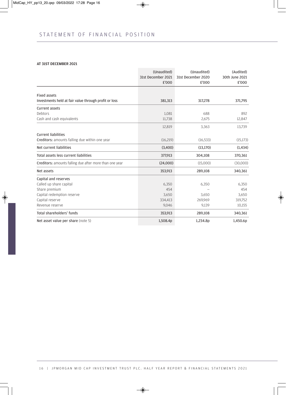#### AT 31ST DECEMBER 2021

|                                                                              | (Unaudited)<br>31st December 2021 | (Unaudited)<br>31st December 2020 | (Audited)<br>30th June 2021 |
|------------------------------------------------------------------------------|-----------------------------------|-----------------------------------|-----------------------------|
|                                                                              | £'000                             | £'000                             | £'000                       |
|                                                                              |                                   |                                   |                             |
| <b>Fixed assets</b><br>Investments held at fair value through profit or loss | 381,313                           | 317,278                           | 371,795                     |
|                                                                              |                                   |                                   |                             |
| <b>Current assets</b>                                                        |                                   |                                   |                             |
| Debtors                                                                      | 1,081                             | 688                               | 892                         |
| Cash and cash equivalents                                                    | 11,738                            | 2,675                             | 12,847                      |
|                                                                              | 12,819                            | 3,363                             | 13,739                      |
| <b>Current liabilities</b>                                                   |                                   |                                   |                             |
| Creditors: amounts falling due within one year                               | (16,219)                          | (16, 533)                         | (15, 173)                   |
| Net current liabilities                                                      | (3,400)                           | (13, 170)                         | (1,434)                     |
| Total assets less current liabilities                                        | 377,913                           | 304,108                           | 370,361                     |
| Creditors: amounts falling due after more than one year                      | (24,000)                          | (15,000)                          | (30,000)                    |
| Net assets                                                                   | 353,913                           | 289,108                           | 340,361                     |
| Capital and reserves                                                         |                                   |                                   |                             |
| Called up share capital                                                      | 6,350                             | 6,350                             | 6,350                       |
| Share premium                                                                | 454                               |                                   | 454                         |
| Capital redemption reserve                                                   | 3,650                             | 3,650                             | 3,650                       |
| Capital reserve                                                              | 334,413                           | 269,969                           | 319,752                     |
| Revenue reserve                                                              | 9,046                             | 9,139                             | 10,155                      |
| Total shareholders' funds                                                    | 353,913                           | 289,108                           | 340,361                     |
| Net asset value per share (note 5)                                           | 1,508.4p                          | 1,234.8p                          | 1,450.6p                    |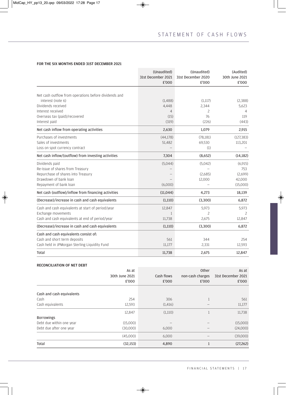#### FOR THE SIX MONTHS ENDED 31ST DECEMBER 2021

|                                                       | (Unaudited)                 | (Unaudited)                 | (Audited)               |
|-------------------------------------------------------|-----------------------------|-----------------------------|-------------------------|
|                                                       | 31st December 2021<br>£'000 | 31st December 2020<br>£'000 | 30th June 2021<br>£'000 |
| Net cash outflow from operations before dividends and |                             |                             |                         |
| interest (note 6)                                     | (1,488)                     | (1,117)                     | (2,388)                 |
| Dividends received                                    | 4,448                       | 2,344                       | 5,623                   |
| Interest received                                     | 4                           | 2                           | 4                       |
| Overseas tax (paid)/recovered                         | (15)                        | 76                          | 119                     |
| Interest paid                                         | (319)                       | (226)                       | (443)                   |
| Net cash inflow from operating activities             | 2,630                       | 1,079                       | 2,915                   |
| Purchases of investments                              | (44, 178)                   | (78, 181)                   | (127, 383)              |
| Sales of investments                                  | 51,482                      | 69,530                      | 113,201                 |
| Loss on spot currency contract                        |                             | (1)                         |                         |
| Net cash inflow/(outflow) from investing activities   | 7,304                       | (8,652)                     | (14, 182)               |
| Dividends paid                                        | (5,044)                     | (5,042)                     | (6,915)                 |
| Re-issue of shares from Treasury                      |                             |                             | 753                     |
| Repurchase of shares into Treasury                    |                             | (2,685)                     | (2,699)                 |
| Drawdown of bank loan                                 |                             | 12,000                      | 42,000                  |
| Repayment of bank loan                                | (6,000)                     |                             | (15,000)                |
| Net cash (outflow)/inflow from financing activities   | (11,044)                    | 4,273                       | 18,139                  |
| (Decrease)/increase in cash and cash equivalents      | (1,110)                     | (3,300)                     | 6,872                   |
| Cash and cash equivalents at start of period/year     | 12,847                      | 5,973                       | 5,973                   |
| Exchange movements                                    | 1                           | 2                           | 2                       |
| Cash and cash equivalents at end of period/year       | 11,738                      | 2,675                       | 12,847                  |
| (Decrease)/increase in cash and cash equivalents      | (1,110)                     | (3,300)                     | 6,872                   |
| Cash and cash equivalents consist of:                 |                             |                             |                         |
| Cash and short term deposits                          | 561                         | 344                         | 254                     |
| Cash held in JPMorgan Sterling Liquidity Fund         | 11,177                      | 2,331                       | 12,593                  |
| Total                                                 | 11,738                      | 2,675                       | 12,847                  |

#### RECONCILIATION OF NET DEBT

|                           | As at          |            | Other            | As at              |
|---------------------------|----------------|------------|------------------|--------------------|
|                           | 30th June 2021 | Cash flows | non-cash charges | 31st December 2021 |
|                           | £'000          | £'000      | £'000            | £'000              |
| Cash and cash equivalents |                |            |                  |                    |
| Cash                      | 254            | 306        |                  | 561                |
| Cash equivalents          | 12,593         | (1,416)    |                  | 11,177             |
|                           | 12,847         | (1,110)    |                  | 11,738             |
| <b>Borrowings</b>         |                |            |                  |                    |
| Debt due within one year  | (15,000)       |            |                  | (15,000)           |
| Debt due after one year   | (30,000)       | 6,000      |                  | (24,000)           |
|                           | (45,000)       | 6,000      |                  | (39,000)           |
| Total                     | (32, 153)      | 4,890      | $\mathbf{1}$     | (27, 262)          |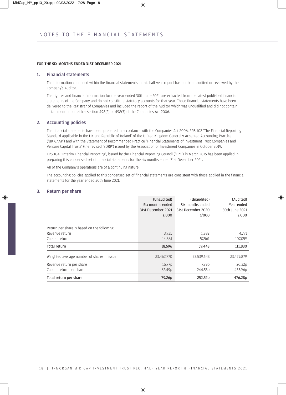#### FOR THE SIX MONTHS ENDED 31ST DECEMBER 2021

#### 1. Financial statements

The information contained within the financial statements in this half year report has not been audited or reviewed by the Company's Auditor.

The figures and financial information for the year ended 30th June 2021 are extracted from the latest published financial statements of the Company and do not constitute statutory accounts for that year. Those financial statements have been delivered to the Registrar of Companies and included the report of the Auditor which was unqualified and did not contain a statement under either section 498(2) or 498(3) of the Companies Act 2006.

#### 2. Accounting policies

The financial statements have been prepared in accordance with the Companies Act 2006, FRS 102 'The Financial Reporting Standard applicable in the UK and Republic of Ireland' of the United Kingdom Generally Accepted Accounting Practice ('UK GAAP') and with the Statement of Recommended Practice 'Financial Statements of Investment Trust Companies and Venture Capital Trusts' (the revised 'SORP') issued by the Association of Investment Companies in October 2019.

FRS 104, 'Interim Financial Reporting', issued by the Financial Reporting Council ('FRC') in March 2015 has been applied in preparing this condensed set of financial statements for the six months ended 31st December 2021.

All of the Company's operations are of a continuing nature.

The accounting policies applied to this condensed set of financial statements are consistent with those applied in the financial statements for the year ended 30th June 2021.

#### 3. Return per share

|                                             | (Unaudited)<br>Six months ended<br>31st December 2021<br>£'000 | (Unaudited)<br>Six months ended<br>31st December 2020<br>£'000 | (Audited)<br>Year ended<br>30th June 2021<br>£'000 |
|---------------------------------------------|----------------------------------------------------------------|----------------------------------------------------------------|----------------------------------------------------|
| Return per share is based on the following: |                                                                |                                                                |                                                    |
| Revenue return                              | 3,935                                                          | 1,882                                                          | 4,771                                              |
| Capital return                              | 14,661                                                         | 57,561                                                         | 107,059                                            |
| Total return                                | 18,596                                                         | 59,443                                                         | 111,830                                            |
| Weighted average number of shares in issue  | 23,462,770                                                     | 23,539,643                                                     | 23,479,879                                         |
| Revenue return per share                    | 16.77p                                                         | 7.99p                                                          | 20.32p                                             |
| Capital return per share                    | 62.49p                                                         | 244.53p                                                        | 455.96p                                            |
| Total return per share                      | 79.26p                                                         | 252.52p                                                        | 476.28p                                            |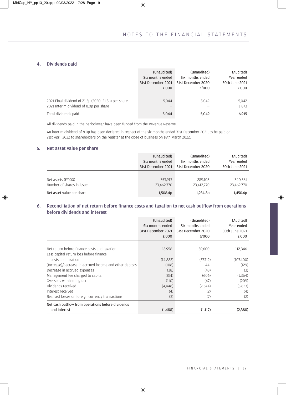#### 4. Dividends paid

|                                                      | (Unaudited)        | (Unaudited)        | (Audited)      |
|------------------------------------------------------|--------------------|--------------------|----------------|
|                                                      | Six months ended   | Six months ended   | Year ended     |
|                                                      | 31st December 2021 | 31st December 2020 | 30th June 2021 |
|                                                      | £'000              | £'000              | £'000          |
| 2021 Final dividend of 21.5p (2020: 21.5p) per share | 5.044              | 5.042              | 5,042          |
| 2021 Interim dividend of 8.0p per share              | -                  |                    | 1,873          |
| Total dividends paid                                 | 5,044              | 5,042              | 6.915          |

All dividends paid in the period/year have been funded from the Revenue Reserve.

An interim dividend of 8.0p has been declared in respect of the six months ended 31st December 2021, to be paid on 21st April 2022 to shareholders on the register at the close of business on 18th March 2022.

#### 5. Net asset value per share

|                           | (Unaudited)        | (Unaudited)        | (Audited)      |
|---------------------------|--------------------|--------------------|----------------|
|                           | Six months ended   | Six months ended   | Year ended     |
|                           | 31st December 2021 | 31st December 2020 | 30th June 2021 |
| Net assets $(E'000)$      | 353,913            | 289,108            | 340,361        |
| Number of shares in issue | 23,462,770         | 23,412,770         | 23,462,770     |
| Net asset value per share | 1,508.4p           | 1,234.8p           | 1,450.6p       |

#### 6. Reconciliation of net return before finance costs and taxation to net cash outflow from operations before dividends and interest

|                                                         | (Unaudited)<br>Six months ended<br>31st December 2021<br>£'000 | (Unaudited)<br>Six months ended<br>31st December 2020<br>£'000 | (Audited)<br>Year ended<br>30th June 2021<br>£'000 |
|---------------------------------------------------------|----------------------------------------------------------------|----------------------------------------------------------------|----------------------------------------------------|
|                                                         |                                                                |                                                                |                                                    |
| Net return before finance costs and taxation            | 18,956                                                         | 59,600                                                         | 112,346                                            |
| Less capital return loss before finance                 |                                                                |                                                                |                                                    |
| costs and taxation                                      | (14,882)                                                       | (57,712)                                                       | (107,400)                                          |
| (Increase)/decrease in accrued income and other debtors | (108)                                                          | 44                                                             | (129)                                              |
| Decrease in accrued expenses                            | (38)                                                           | (43)                                                           | (3)                                                |
| Management fee charged to capital                       | (851)                                                          | (606)                                                          | (1,364)                                            |
| Overseas withholding tax                                | (110)                                                          | (47)                                                           | (209)                                              |
| Dividends received                                      | (4,448)                                                        | (2,344)                                                        | (5,623)                                            |
| Interest received                                       | (4)                                                            | (2)                                                            | (4)                                                |
| Realised losses on foreign currency transactions        | (3)                                                            | (7)                                                            | (2)                                                |
| Net cash outflow from operations before dividends       |                                                                |                                                                |                                                    |
| and interest                                            | (1,488)                                                        | (1,117)                                                        | (2,388)                                            |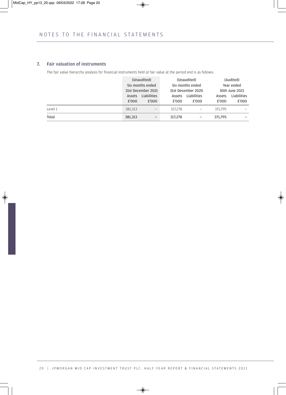#### 7. Fair valuation of instruments

The fair value hierarchy analysis for financial instruments held at fair value at the period end is as follows:

|         |                    | (Unaudited)              |                    | (Unaudited) |                | (Audited)   |
|---------|--------------------|--------------------------|--------------------|-------------|----------------|-------------|
|         | Six months ended   |                          | Six months ended   |             |                | Year ended  |
|         | 31st December 2021 |                          | 31st December 2020 |             | 30th June 2021 |             |
|         | Assets             | Liabilities              | Assets             | Liabilities | Assets         | Liabilities |
|         | £'000              | £'000                    | £'000              | £'000       | £'000          | £'000       |
| Level 1 | 381,313            | $\overline{\phantom{0}}$ | 317,278            |             | 371.795        |             |
| Total   | 381,313            | $\qquad \qquad -$        | 317,278            |             | 371,795        |             |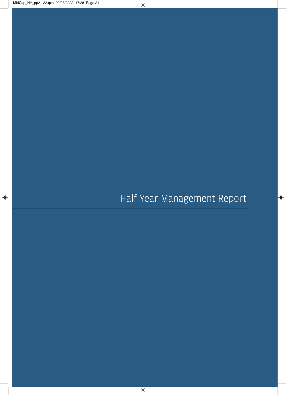## Half Year Management Report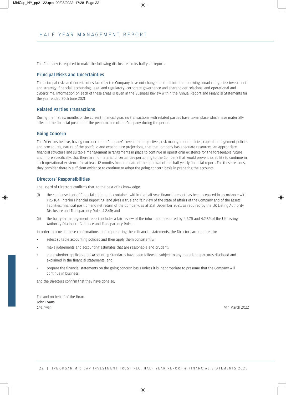The Company is required to make the following disclosures in its half year report.

#### Principal Risks and Uncertainties

The principal risks and uncertainties faced by the Company have not changed and fall into the following broad categories: investment and strategy; financial; accounting, legal and regulatory; corporate governance and shareholder relations; and operational and cybercrime. Information on each of these areas is given in the Business Review within the Annual Report and Financial Statements for the year ended 30th June 2021.

#### Related Parties Transactions

During the first six months of the current financial year, no transactions with related parties have taken place which have materially affected the financial position or the performance of the Company during the period.

#### Going Concern

The Directors believe, having considered the Company's investment objectives, risk management policies, capital management policies and procedures, nature of the portfolio and expenditure projections, that the Company has adequate resources, an appropriate financial structure and suitable management arrangements in place to continue in operational existence for the foreseeable future and, more specifically, that there are no material uncertainties pertaining to the Company that would prevent its ability to continue in such operational existence for at least 12 months from the date of the approval of this half yearly financial report. For these reasons, they consider there is sufficient evidence to continue to adopt the going concern basis in preparing the accounts.

#### Directors' Responsibilities

The Board of Directors confirms that, to the best of its knowledge:

- (i) the condensed set of financial statements contained within the half year financial report has been prepared in accordance with FRS 104 'Interim Financial Reporting' and gives a true and fair view of the state of affairs of the Company and of the assets, liabilities, financial position and net return of the Company, as at 31st December 2021, as required by the UK Listing Authority Disclosure and Transparency Rules 4.2.4R; and
- (ii) the half year management report includes a fair review of the information required by 4.2.7R and 4.2.8R of the UK Listing Authority Disclosure Guidance and Transparency Rules.

In order to provide these confirmations, and in preparing these financial statements, the Directors are required to:

- select suitable accounting policies and then apply them consistently;
- make judgements and accounting estimates that are reasonable and prudent;
- state whether applicable UK Accounting Standards have been followed, subject to any material departures disclosed and explained in the financial statements; and
- prepare the financial statements on the going concern basis unless it is inappropriate to presume that the Company will continue in business;

and the Directors confirm that they have done so.

For and on behalf of the Board John Evans *Chairman* 9th March 2022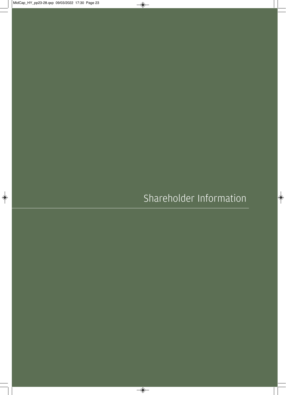Shareholder Information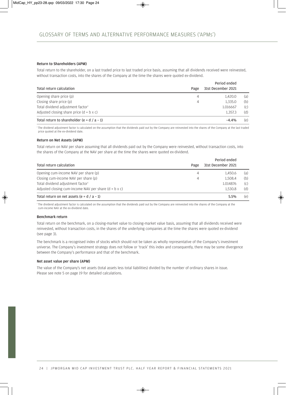#### Return to Shareholders (APM)

Total return to the shareholder, on a last traded price to last traded price basis, assuming that all dividends received were reinvested, without transaction costs, into the shares of the Company at the time the shares were quoted ex-dividend.

|                                                 |      | Period ended       |     |
|-------------------------------------------------|------|--------------------|-----|
| Total return calculation                        | Page | 31st December 2021 |     |
| Opening share price (p)                         | 4    | 1.420.0            | (a) |
| Closing share price (p)                         | 4    | 1,335.0            | (b) |
| Total dividend adjustment factor <sup>1</sup>   |      | 1.016667           | (C) |
| Adjusted closing share price $(d = b \times c)$ |      | 1.357.3            | (d) |
| Total return to shareholder (e = $d / a - 1$ )  |      | $-4.4%$            | (e) |

<sup>1</sup> The dividend adjustment factor is calculated on the assumption that the dividends paid out by the Company are reinvested into the shares of the Company at the last traded price quoted at the ex-dividend date.

#### Return on Net Assets (APM)

Total return on NAV per share assuming that all dividends paid out by the Company were reinvested, without transaction costs, into the shares of the Company at the NAV per share at the time the shares were quoted ex-dividend.

|                                                              | Period ended |                    |     |
|--------------------------------------------------------------|--------------|--------------------|-----|
| Total return calculation                                     | Page         | 31st December 2021 |     |
| Opening cum-income NAV per share (p)                         | 4            | 1.450.6            | (a) |
| Closing cum-income NAV per share (p)                         | 4            | 1.508.4            | (b) |
| Total dividend adjustment factor <sup>1</sup>                |              | 1.014876           | (C) |
| Adjusted closing cum-income NAV per share $(d = b \times c)$ |              | 1.530.8            | (d) |
| Total return on net assets (e = $d / a - 1$ )                |              | 5.5%               | (e) |

<sup>1</sup> The dividend adjustment factor is calculated on the assumption that the dividends paid out by the Company are reinvested into the shares of the Company at the cum-income NAV at the ex-dividend date.

#### Benchmark return

Total return on the benchmark, on a closing-market value to closing-market value basis, assuming that all dividends received were reinvested, without transaction costs, in the shares of the underlying companies at the time the shares were quoted ex-dividend (see page 3).

The benchmark is a recognised index of stocks which should not be taken as wholly representative of the Company's investment universe. The Company's investment strategy does not follow or 'track' this index and consequently, there may be some divergence between the Company's performance and that of the benchmark.

#### Net asset value per share (APM)

The value of the Company's net assets (total assets less total liabilities) divided by the number of ordinary shares in issue. Please see note 5 on page 19 for detailed calculations.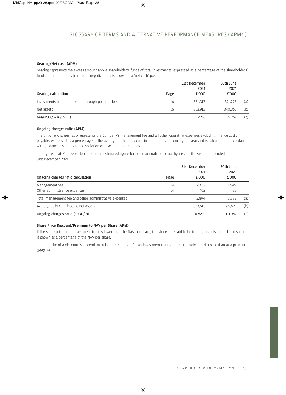#### Gearing/Net cash (APM)

Gearing represents the excess amount above shareholders' funds of total investments, expressed as a percentage of the shareholders' funds. If the amount calculated is negative, this is shown as a 'net cash' position.

|                                                       |      | 31st December<br>2021 | 30th June<br>2021 |     |
|-------------------------------------------------------|------|-----------------------|-------------------|-----|
| Gearing calculation                                   | Page | £'000                 | £'000             |     |
| Investments held at fair value through profit or loss | 16   | 381.313               | 371.795           | (a) |
| Net assets                                            | 16   | 353.913               | 340.361           | (b) |
| Gearing $(c = a / b - 1)$                             |      | 7.7%                  | $9.2\%$           | (C) |

#### Ongoing charges ratio (APM)

The ongoing charges ratio represents the Company's management fee and all other operating expenses excluding finance costs payable, expressed as a percentage of the average of the daily cum-income net assets during the year and is calculated in accordance with guidance issued by the Association of Investment Companies.

The figure as at 31st December 2021 is an estimated figure based on annualised actual figures for the six months ended 31st December 2021.

| Ongoing charges ratio calculation                      | Page | 31st December<br>2021<br>£'000 | 30th June<br>2021<br>£'000 |     |
|--------------------------------------------------------|------|--------------------------------|----------------------------|-----|
| Management fee                                         | 14   | 2,432                          | 1,949                      |     |
| Other administrative expenses                          | 14   | 462                            | 433                        |     |
| Total management fee and other administrative expenses |      | 2.894                          | 2.382                      | (a) |
| Average daily cum-income net assets                    |      | 353.513                        | 285.691                    | (b) |
| Ongoing charges ratio $(c = a / b)$                    |      | 0.82%                          | 0.83%                      | (C) |

#### Share Price Discount/Premium to NAV per Share (APM)

If the share price of an investment trust is lower than the NAV per share, the shares are said to be trading at a discount. The discount is shown as a percentage of the NAV per share.

The opposite of a discount is a premium. It is more common for an investment trust's shares to trade at a discount than at a premium (page 4).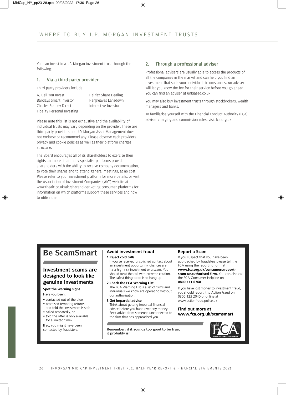You can invest in a J.P. Morgan investment trust through the following:

#### 1. Via a third party provider

Third party providers include:

AJ Bell You Invest Barclays Smart Investor Charles Stanley Direct Fidelity Personal Investing Halifax Share Dealing Hargreaves Lansdown Interactive Investor

Please note this list is not exhaustive and the availability of individual trusts may vary depending on the provider. These are third party providers and J.P. Morgan Asset Management does not endorse or recommend any. Please observe each providers privacy and cookie policies as well as their platform charges structure.

The Board encourages all of its shareholders to exercise their rights and notes that many specialist platforms provide shareholders with the ability to receive company documentation, to vote their shares and to attend general meetings, at no cost. Please refer to your investment platform for more details, or visit the Association of Investment Companies ('AIC') website at www.theaic.co.uk/aic/shareholder-voting-consumer-platforms for information on which platforms support these services and how to utilise them.

#### 2. Through a professional adviser

Professional advisers are usually able to access the products of all the companies in the market and can help you find an investment that suits your individual circumstances. An adviser will let you know the fee for their service before you go ahead. You can find an adviser at unbiased.co.uk

You may also buy investment trusts through stockbrokers, wealth managers and banks.

To familiarise yourself with the Financial Conduct Authority (FCA) adviser charging and commission rules, visit fca.org.uk

## **Be ScamSmart**

#### **Investment scams are designed to look like genuine investments**

#### **Spot the warning signs**

Have you been:

- contacted out of the blue
- promised tempting returns
- and told the investment is safe • called repeatedly, or
- told the offer is only available for a limited time?

If so, you might have been<br>contacted by fraudsters.

### **Avoid investment fraud**

**1 Reject cold calls** 

- If you've received unsolicited contact about an investment opportunity, chances are it's a high risk investment or a scam. You should treat the call with extreme caution. The safest thing to do is to hang up.
- **2 Check the FCA Warning List**  The FCA Warning List is a list of firms and individuals we know are operating without our authorisation.
- **3 Get impartial advice**  Think about getting impartial financial advice before you hand over any money. Seek advice from someone unconnected to the firm that has approached you.

Remember: if it sounds too good to be true, **it probably is!**

#### **Report a Scam**

If you suspect that you have been approached by fraudsters please tell the FCA using the reporting form at **www.fca.org.uk/consumers/reportscam-unauthorised-firm.** You can also call the FCA Consumer Helpline on **0800 111 6768**

If you have lost money to investment fraud, you should report it to Action Fraud on 0300 123 2040 or online at www.actionfraud.police.uk

#### **Find out more at www.fca.org.uk/scamsmart**

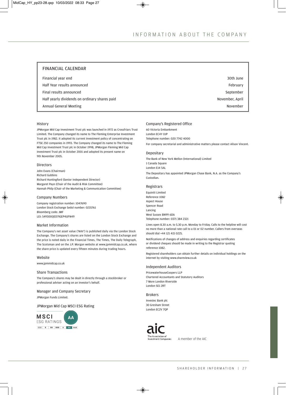#### FINANCIAL CALENDAR

| Financial year end                            | 30th June       |
|-----------------------------------------------|-----------------|
| Half Year results announced                   | February        |
| Final results announced                       | September       |
| Half yearly dividends on ordinary shares paid | November, April |
| Annual General Meeting                        | November        |

#### History

JPMorgan Mid Cap Investment Trust plc was launched in 1972 as Crossfriars Trust Limited. The Company changed its name to The Fleming Enterprise Investment Trust plc in 1982. It adopted its current investment policy of concentrating on FTSE 250 companies in 1993. The Company changed its name to The Fleming Mid Cap Investment Trust plc in October 1998, JPMorgan Fleming Mid Cap Investment Trust plc in October 2001 and adopted its present name on 9th November 2005.

#### **Directors**

John Evans (Chairman) Richard Gubbins Richard Huntingford (Senior Independent Director) Margaret Payn (Chair of the Audit & Risk Committee) Hannah Philp (Chair of the Marketing & Communication Committee)

#### Company Numbers

Company registration number: 1047690 London Stock Exchange Sedol number: 0235761 Bloomberg code: JMF LEI: 549300QED7IGEP4UFN49

#### Market Information

The Company's net asset value ('NAV') is published daily via the London Stock Exchange. The Company's shares are listed on the London Stock Exchange and the price is noted daily in the Financial Times, The Times, The Daily Telegraph, The Scotsman and on the J.P. Morgan website at www.jpmmidcap.co.uk, where the share price is updated every fifteen minutes during trading hours.

#### Website

www.jpmmidcap.co.uk

#### Share Transactions

The Company's shares may be dealt in directly through a stockbroker or professional adviser acting on an investor's behalf.

#### Manager and Company Secretary

JPMorgan Funds Limited.

#### JPMorgan Mid Cap MSCI ESG Rating



#### Company's Registered Office

60 Victoria Embankment London EC4Y 0JP Telephone number: 020 7742 4000

For company secretarial and administrative matters please contact Alison Vincent.

#### Depositary

The Bank of New York Mellon (International) Limited 1 Canada Square London E14 5AL The Depositary has appointed JPMorgan Chase Bank, N.A. as the Company's Custodian.

#### Registrars

Equiniti Limited Reference 1082 Aspect House Spencer Road Lancing West Sussex BN99 6DA Telephone number: 0371 384 2321

Lines open 8.30 a.m. to 5.30 p.m. Monday to Friday. Calls to the helpline will cost no more than a national rate call to a 01 or 02 number. Callers from overseas should dial +44 121 415 0225.

Notifications of changes of address and enquiries regarding certificates or dividend cheques should be made in writing to the Registrar quoting reference 1082.

Registered shareholders can obtain further details on individual holdings on the internet by visiting www.shareview.co.uk

#### Independent Auditors

PricewaterhouseCoopers LLP Chartered Accountants and Statutory Auditors 7 More London Riverside London SE1 2RT

#### Brokers

Investec Bank plc 30 Gresham Street London EC2V 7QP



A member of the AIC